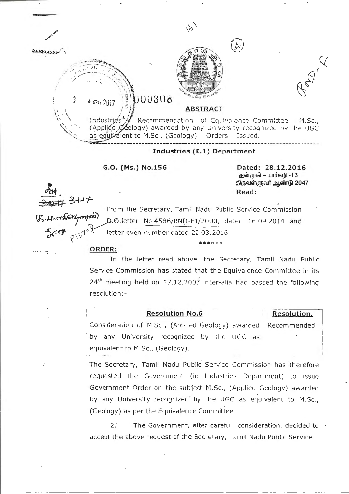

From the Secretary, Tamil Nadu Public Service Commission D.O.letter No.4586/RND-F1/2000, dated 16.09.2014 and letter even number dated 22.03.2016.

\*\*\*\*\*\* ORDER:

الموداء بمصد

In the letter read above, the Secretary, Tamil Nadu Public Service Commission has stated that the Equivalence Committee in its 24<sup>th</sup> meeting held on 17.12.2007 inter-alia had passed the following resolution:-

Resolution No.6 Resolution. Consideration of M.Sc., (Applied Geology) awarded | Recommended.

by any University recognized by the UGC as equivalent to M.Sc., (Geology).

The Secretary, Tamil . Nadu Public Service Commission has therefore requested the Government (in Industries Department) to issue Government Order on the subject M.Sc., (Applied Geology) awarded by any University recognized by the UGC as equivalent to M.Sc., (Geology) as per the Equivalence Committee...

*2:* The Government, after careful consideration, decided to accept the above request of the Secretary, Tamil Nadu Public Service